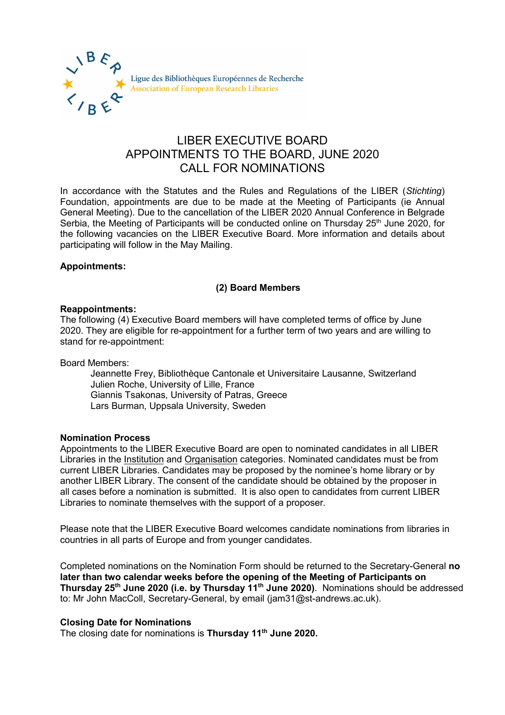

# LIBER EXECUTIVE BOARD APPOINTMENTS TO THE BOARD, JUNE 2020 CALL FOR NOMINATIONS

In accordance with the Statutes and the Rules and Regulations of the LIBER (*Stichting*) Foundation, appointments are due to be made at the Meeting of Participants (ie Annual General Meeting). Due to the cancellation of the LIBER 2020 Annual Conference in Belgrade Serbia, the Meeting of Participants will be conducted online on Thursday 25<sup>th</sup> June 2020, for the following vacancies on the LIBER Executive Board. More information and details about participating will follow in the May Mailing.

### **Appointments:**

## **(2) Board Members**

#### **Reappointments:**

The following (4) Executive Board members will have completed terms of office by June 2020. They are eligible for re-appointment for a further term of two years and are willing to stand for re-appointment:

Board Members:

Jeannette Frey, Bibliothèque Cantonale et Universitaire Lausanne, Switzerland Julien Roche, University of Lille, France Giannis Tsakonas, University of Patras, Greece Lars Burman, Uppsala University, Sweden

#### **Nomination Process**

Appointments to the LIBER Executive Board are open to nominated candidates in all LIBER Libraries in the Institution and Organisation categories. Nominated candidates must be from current LIBER Libraries. Candidates may be proposed by the nominee's home library or by another LIBER Library. The consent of the candidate should be obtained by the proposer in all cases before a nomination is submitted. It is also open to candidates from current LIBER Libraries to nominate themselves with the support of a proposer.

Please note that the LIBER Executive Board welcomes candidate nominations from libraries in countries in all parts of Europe and from younger candidates.

Completed nominations on the Nomination Form should be returned to the Secretary-General **no later than two calendar weeks before the opening of the Meeting of Participants on Thursday 25th June 2020 (i.e. by Thursday 11th June 2020)**. Nominations should be addressed to: Mr John MacColl, Secretary-General, by email (jam31@st-andrews.ac.uk).

#### **Closing Date for Nominations**

The closing date for nominations is **Thursday 11th June 2020.**